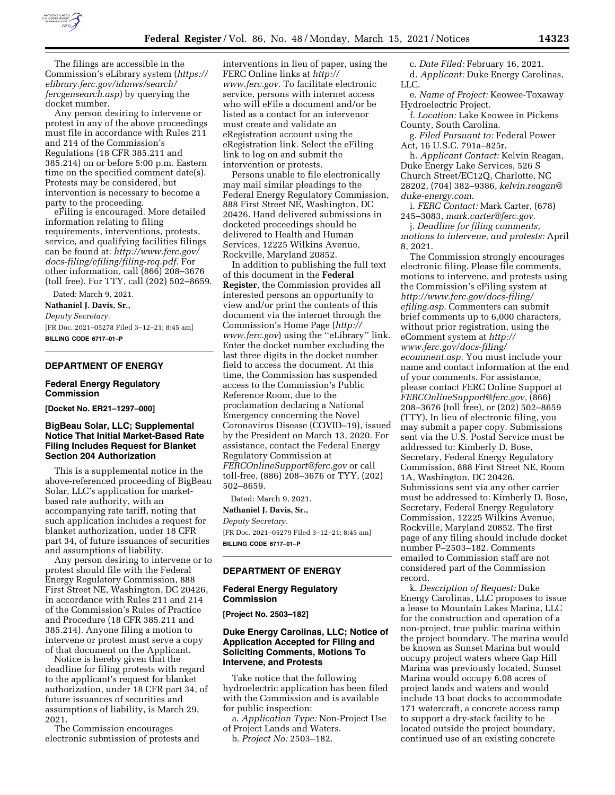

The filings are accessible in the Commission's eLibrary system (*[https://](https://elibrary.ferc.gov/idmws/search/fercgensearch.asp) [elibrary.ferc.gov/idmws/search/](https://elibrary.ferc.gov/idmws/search/fercgensearch.asp) [fercgensearch.asp](https://elibrary.ferc.gov/idmws/search/fercgensearch.asp)*) by querying the docket number.

Any person desiring to intervene or protest in any of the above proceedings must file in accordance with Rules 211 and 214 of the Commission's Regulations (18 CFR 385.211 and 385.214) on or before 5:00 p.m. Eastern time on the specified comment date(s). Protests may be considered, but intervention is necessary to become a party to the proceeding.

eFiling is encouraged. More detailed information relating to filing requirements, interventions, protests, service, and qualifying facilities filings can be found at: *[http://www.ferc.gov/](http://www.ferc.gov/docs-filing/efiling/filing-req.pdf)  [docs-filing/efiling/filing-req.pdf.](http://www.ferc.gov/docs-filing/efiling/filing-req.pdf)* For other information, call (866) 208–3676 (toll free). For TTY, call (202) 502–8659.

Dated: March 9, 2021.

**Nathaniel J. Davis, Sr.,** 

*Deputy Secretary.*  [FR Doc. 2021–05278 Filed 3–12–21; 8:45 am] **BILLING CODE 6717–01–P** 

## **DEPARTMENT OF ENERGY**

### **Federal Energy Regulatory Commission**

**[Docket No. ER21–1297–000]** 

# **BigBeau Solar, LLC; Supplemental Notice That Initial Market-Based Rate Filing Includes Request for Blanket Section 204 Authorization**

This is a supplemental notice in the above-referenced proceeding of BigBeau Solar, LLC's application for marketbased rate authority, with an accompanying rate tariff, noting that such application includes a request for blanket authorization, under 18 CFR part 34, of future issuances of securities and assumptions of liability.

Any person desiring to intervene or to protest should file with the Federal Energy Regulatory Commission, 888 First Street NE, Washington, DC 20426, in accordance with Rules 211 and 214 of the Commission's Rules of Practice and Procedure (18 CFR 385.211 and 385.214). Anyone filing a motion to intervene or protest must serve a copy of that document on the Applicant.

Notice is hereby given that the deadline for filing protests with regard to the applicant's request for blanket authorization, under 18 CFR part 34, of future issuances of securities and assumptions of liability, is March 29, 2021.

The Commission encourages electronic submission of protests and interventions in lieu of paper, using the FERC Online links at *[http://](http://www.ferc.gov) [www.ferc.gov.](http://www.ferc.gov)* To facilitate electronic service, persons with internet access who will eFile a document and/or be listed as a contact for an intervenor must create and validate an eRegistration account using the eRegistration link. Select the eFiling link to log on and submit the intervention or protests.

Persons unable to file electronically may mail similar pleadings to the Federal Energy Regulatory Commission, 888 First Street NE, Washington, DC 20426. Hand delivered submissions in docketed proceedings should be delivered to Health and Human Services, 12225 Wilkins Avenue, Rockville, Maryland 20852.

In addition to publishing the full text of this document in the **Federal Register**, the Commission provides all interested persons an opportunity to view and/or print the contents of this document via the internet through the Commission's Home Page (*[http://](http://www.ferc.gov) [www.ferc.gov](http://www.ferc.gov)*) using the ''eLibrary'' link. Enter the docket number excluding the last three digits in the docket number field to access the document. At this time, the Commission has suspended access to the Commission's Public Reference Room, due to the proclamation declaring a National Emergency concerning the Novel Coronavirus Disease (COVID–19), issued by the President on March 13, 2020. For assistance, contact the Federal Energy Regulatory Commission at *[FERCOnlineSupport@ferc.gov](mailto:FERCOnlineSupport@ferc.gov)* or call toll-free, (886) 208–3676 or TYY, (202) 502–8659.

Dated: March 9, 2021. **Nathaniel J. Davis, Sr.,**  *Deputy Secretary.*  [FR Doc. 2021–05279 Filed 3–12–21; 8:45 am] **BILLING CODE 6717–01–P** 

## **DEPARTMENT OF ENERGY**

### **Federal Energy Regulatory Commission**

**[Project No. 2503–182]** 

# **Duke Energy Carolinas, LLC; Notice of Application Accepted for Filing and Soliciting Comments, Motions To Intervene, and Protests**

Take notice that the following hydroelectric application has been filed with the Commission and is available for public inspection:

a. *Application Type:* Non-Project Use of Project Lands and Waters.

b. *Project No:* 2503–182.

c. *Date Filed:* February 16, 2021. d. *Applicant:* Duke Energy Carolinas, LLC.

e. *Name of Project:* Keowee-Toxaway Hydroelectric Project.

f. *Location:* Lake Keowee in Pickens County, South Carolina.

g. *Filed Pursuant to:* Federal Power Act, 16 U.S.C. 791a–825r.

h. *Applicant Contact:* Kelvin Reagan, Duke Energy Lake Services, 526 S Church Street/EC12Q, Charlotte, NC 28202, (704) 382–9386, *[kelvin.reagan@](mailto:kelvin.reagan@duke-energy.com) [duke-energy.com](mailto:kelvin.reagan@duke-energy.com)*.

i. *FERC Contact:* Mark Carter, (678) 245–3083, *[mark.carter@ferc.gov](mailto:mark.carter@ferc.gov)*.

j. *Deadline for filing comments, motions to intervene, and protests:* April 8, 2021.

The Commission strongly encourages electronic filing. Please file comments, motions to intervene, and protests using the Commission's eFiling system at *[http://www.ferc.gov/docs-filing/](http://www.ferc.gov/docs-filing/efiling.asp) [efiling.asp.](http://www.ferc.gov/docs-filing/efiling.asp)* Commenters can submit brief comments up to 6,000 characters, without prior registration, using the eComment system at *[http://](http://www.ferc.gov/docs-filing/ecomment.asp) [www.ferc.gov/docs-filing/](http://www.ferc.gov/docs-filing/ecomment.asp)  [ecomment.asp.](http://www.ferc.gov/docs-filing/ecomment.asp)* You must include your name and contact information at the end of your comments. For assistance, please contact FERC Online Support at *[FERCOnlineSupport@ferc.gov,](mailto:FERCOnlineSupport@ferc.gov)* (866) 208–3676 (toll free), or (202) 502–8659 (TTY). In lieu of electronic filing, you may submit a paper copy. Submissions sent via the U.S. Postal Service must be addressed to: Kimberly D. Bose, Secretary, Federal Energy Regulatory Commission, 888 First Street NE, Room 1A, Washington, DC 20426. Submissions sent via any other carrier must be addressed to: Kimberly D. Bose, Secretary, Federal Energy Regulatory Commission, 12225 Wilkins Avenue, Rockville, Maryland 20852. The first page of any filing should include docket number P–2503–182. Comments emailed to Commission staff are not considered part of the Commission record.

k. *Description of Request:* Duke Energy Carolinas, LLC proposes to issue a lease to Mountain Lakes Marina, LLC for the construction and operation of a non-project, true public marina within the project boundary. The marina would be known as Sunset Marina but would occupy project waters where Gap Hill Marina was previously located. Sunset Marina would occupy 6.08 acres of project lands and waters and would include 13 boat docks to accommodate 171 watercraft, a concrete access ramp to support a dry-stack facility to be located outside the project boundary, continued use of an existing concrete